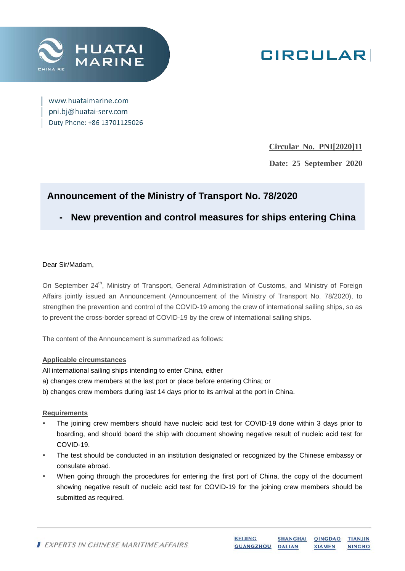

# **GIRCULAR**

www.huataimarine.com pni.bj@huatai-serv.com Duty Phone: +86 13701125026

**Circular No. PNI[2020]11**

**Date: 25 September 2020**

## **Announcement of the Ministry of Transport No. 78/2020**

**- New prevention and control measures for ships entering China**

#### Dear Sir/Madam,

On September 24<sup>th</sup>, Ministry of Transport, General Administration of Customs, and Ministry of Foreign Affairs jointly issued an Announcement (Announcement of the Ministry of Transport No. 78/2020), to strengthen the prevention and control of the COVID-19 among the crew of international sailing ships, so as to prevent the cross-border spread of COVID-19 by the crew of international sailing ships.

The content of the Announcement is summarized as follows:

#### **Applicable circumstances**

All international sailing ships intending to enter China, either

- a) changes crew members at the last port or place before entering China; or
- b) changes crew members during last 14 days prior to its arrival at the port in China.

#### **Requirements**

- The joining crew members should have nucleic acid test for COVID-19 done within 3 days prior to boarding, and should board the ship with document showing negative result of nucleic acid test for COVID-19.
- The test should be conducted in an institution designated or recognized by the Chinese embassy or consulate abroad.
- When going through the procedures for entering the first port of China, the copy of the document showing negative result of nucleic acid test for COVID-19 for the joining crew members should be submitted as required.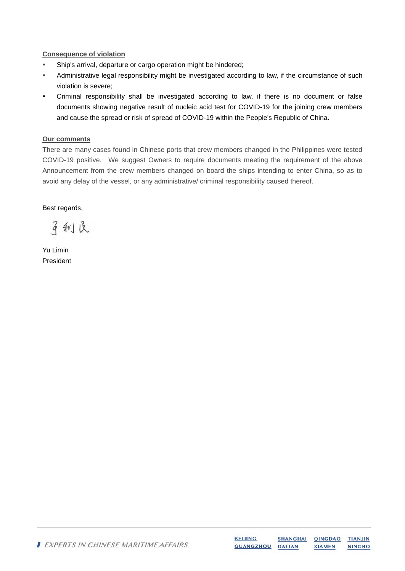#### **Consequence of violation**

- Ship's arrival, departure or cargo operation might be hindered;
- Administrative legal responsibility might be investigated according to law, if the circumstance of such violation is severe;
- Criminal responsibility shall be investigated according to law, if there is no document or false documents showing negative result of nucleic acid test for COVID-19 for the joining crew members and cause the spread or risk of spread of COVID-19 within the People's Republic of China.

#### **Our comments**

There are many cases found in Chinese ports that crew members changed in the Philippines were tested COVID-19 positive. We suggest Owners to require documents meeting the requirement of the above Announcement from the crew members changed on board the ships intending to enter China, so as to avoid any delay of the vessel, or any administrative/ criminal responsibility caused thereof.

Best regards,

平利良

Yu Limin President

|  | EXPERTS IN CHINESE MARITIME AFFAIRS | <b>BEIJING</b>   | SHANGHAI QINGDAO TIANJIN |               |               |
|--|-------------------------------------|------------------|--------------------------|---------------|---------------|
|  |                                     | GUANGZHOU DALIAN |                          | <b>XIAMEN</b> | <b>NINGBO</b> |